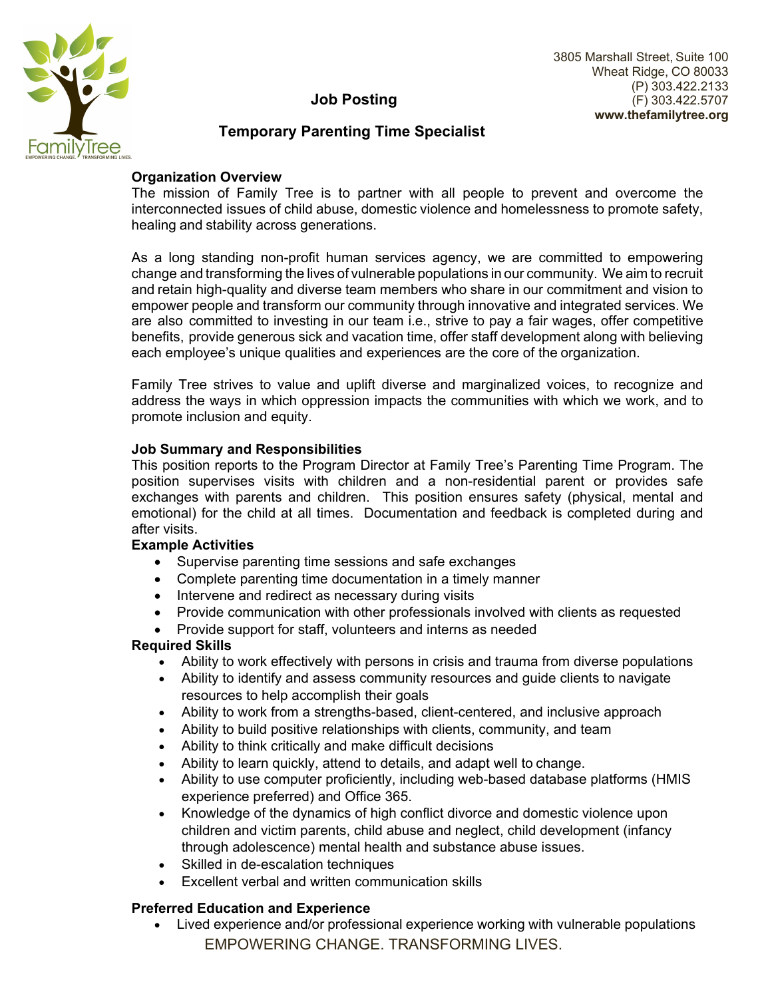

# **Job Posting**

# **Temporary Parenting Time Specialist FamilyTree**

## **Organization Overview**

The mission of Family Tree is to partner with all people to prevent and overcome the interconnected issues of child abuse, domestic violence and homelessness to promote safety, healing and stability across generations.

As a long standing non-profit human services agency, we are committed to empowering change and transforming the lives of vulnerable populations in our community. We aim to recruit and retain high-quality and diverse team members who share in our commitment and vision to empower people and transform our community through innovative and integrated services. We are also committed to investing in our team i.e., strive to pay a fair wages, offer competitive benefits, provide generous sick and vacation time, offer staff development along with believing each employee's unique qualities and experiences are the core of the organization.

Family Tree strives to value and uplift diverse and marginalized voices, to recognize and address the ways in which oppression impacts the communities with which we work, and to promote inclusion and equity.

#### **Job Summary and Responsibilities**

This position reports to the Program Director at Family Tree's Parenting Time Program. The position supervises visits with children and a non-residential parent or provides safe exchanges with parents and children. This position ensures safety (physical, mental and emotional) for the child at all times. Documentation and feedback is completed during and after visits.

#### **Example Activities**

- Supervise parenting time sessions and safe exchanges
- Complete parenting time documentation in a timely manner
- Intervene and redirect as necessary during visits
- Provide communication with other professionals involved with clients as requested
- Provide support for staff, volunteers and interns as needed

#### **Required Skills**

- Ability to work effectively with persons in crisis and trauma from diverse populations
- Ability to identify and assess community resources and guide clients to navigate resources to help accomplish their goals
- Ability to work from a strengths-based, client-centered, and inclusive approach
- Ability to build positive relationships with clients, community, and team
- Ability to think critically and make difficult decisions
- Ability to learn quickly, attend to details, and adapt well to change.
- Ability to use computer proficiently, including web-based database platforms (HMIS experience preferred) and Office 365.
- Knowledge of the dynamics of high conflict divorce and domestic violence upon children and victim parents, child abuse and neglect, child development (infancy through adolescence) mental health and substance abuse issues.
- Skilled in de-escalation techniques
- Excellent verbal and written communication skills

### **Preferred Education and Experience**

EMPOWERING CHANGE. TRANSFORMING LIVES. Lived experience and/or professional experience working with vulnerable populations